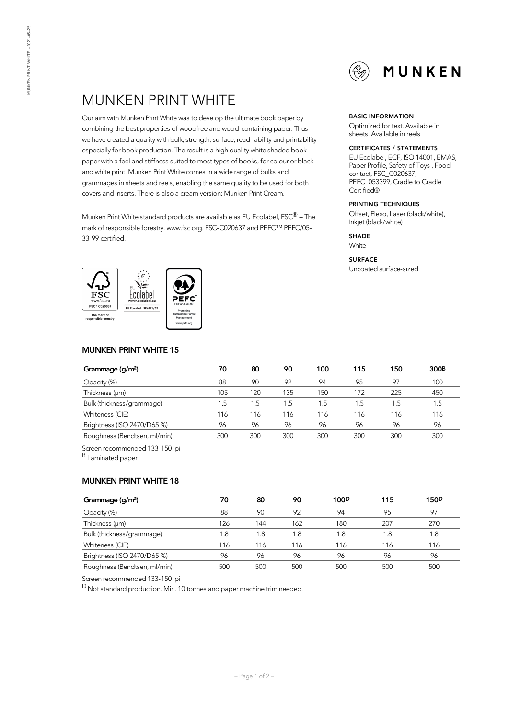

# MUNKEN PRINT WHITE

Our aim with Munken PrintWhite was to develop the ultimate book paper by combining the best properties of woodfree and wood-containing paper. Thus we have created a quality with bulk, strength, surface, read- ability and printability especially for book production. The result is a high quality white shaded book paper with a feel and stiffness suited to most types of books, for colour or black and white print. Munken Print White comes in a wide range of bulks and grammages in sheets and reels, enabling the same qualityto be used for both covers and inserts. There is also a cream version: Munken Print Cream.

Munken Print White standard products are available as EU Ecolabel, FSC $^{\circledR}$  – The mark of responsible forestry. www.fsc.org. FSC-C020637 and PEFC™ PEFC/05- 33-99 certified.



## **MUNKEN PRINT WHITE 15**

| Grammage (g/m <sup>2</sup> ) | 70  | 80  | 90  | 100 | 115 | 150 | 300 <sub>B</sub> |
|------------------------------|-----|-----|-----|-----|-----|-----|------------------|
| Opacity (%)                  | 88  | 90  | 92  | 94  | 95  | 97  | 100              |
| Thickness (um)               | 105 | 120 | 135 | 150 | 172 | 225 | 450              |
| Bulk (thickness/grammage)    | 1.5 | 1.5 | 1.5 | 1.5 | 1.5 | 1.5 | 1.5              |
| Whiteness (CIE)              | 116 | 116 | 116 | 116 | 116 | 116 | 116              |
| Brightness (ISO 2470/D65 %)  | 96  | 96  | 96  | 96  | 96  | 96  | 96               |
| Roughness (Bendtsen, ml/min) | 300 | 300 | 300 | 300 | 300 | 300 | 300              |

Screen recommended 133-150 lpi

B Laminated paper

# **MUNKEN PRINT WHITE 18**

| Grammage (g/m <sup>2</sup> ) | 70  | 80  | 90  | 100 <sup>D</sup> | 115 | 150 <sub>D</sub> |
|------------------------------|-----|-----|-----|------------------|-----|------------------|
| Opacity (%)                  | 88  | 90  | 92  | 94               | 95  | 97               |
| Thickness (um)               | 126 | 144 | 162 | 180              | 207 | 270              |
| Bulk (thickness/grammage)    | .8  | 1.8 | 1.8 | 1.8              | 1.8 | 1.8              |
| Whiteness (CIE)              | 116 | 116 | 116 | 116              | 116 | 116              |
| Brightness (ISO 2470/D65 %)  | 96  | 96  | 96  | 96               | 96  | 96               |
| Roughness (Bendtsen, ml/min) | 500 | 500 | 500 | 50C              | 500 | 500              |

Screen recommended 133-150 lpi

 $D$  Not standard production. Min. 10 tonnes and paper machine trim needed.

### **BASIC INFORMATION**

Optimized for text. Available in sheets. Available in reels

#### **CERTIFICATES / STATEMENTS**

EU Ecolabel, ECF, ISO 14001, EMAS, Paper Profile, Safety of Toys , Food contact, FSC\_C020637, PEFC\_053399, Cradle to Cradle Certified®

## **PRINTING TECHNIQUES**

Offset, Flexo, Laser (black/white), Inkjet (black/white)

#### **SHADE**

White

#### **SURFACE**

Uncoated surface-sized